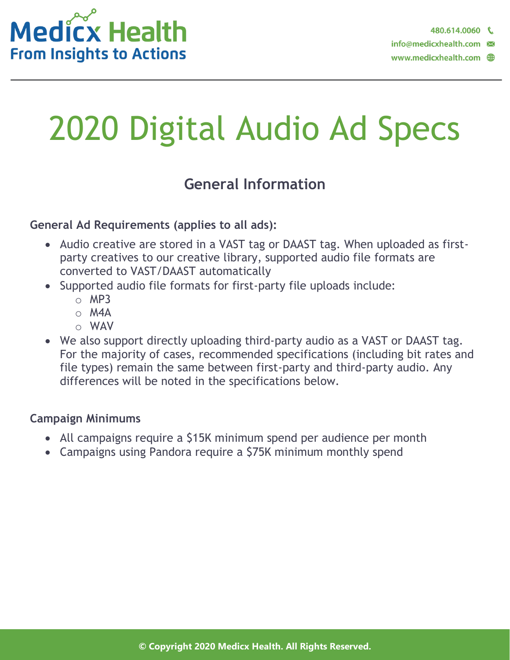

# 2020 Digital Audio Ad Specs

## **General Information**

#### **General Ad Requirements (applies to all ads):**

- Audio creative are stored in a VAST tag or DAAST tag. When uploaded as firstparty creatives to our creative library, supported audio file formats are converted to VAST/DAAST automatically
- Supported audio file formats for first-party file uploads include:
	- $O$  MP3
	- $O$  M4A
	- o WAV
- We also support directly uploading third-party audio as a VAST or DAAST tag. For the majority of cases, recommended specifications (including bit rates and file types) remain the same between first-party and third-party audio. Any differences will be noted in the specifications below.

#### **Campaign Minimums**

- All campaigns require a \$15K minimum spend per audience per month
- Campaigns using Pandora require a \$75K minimum monthly spend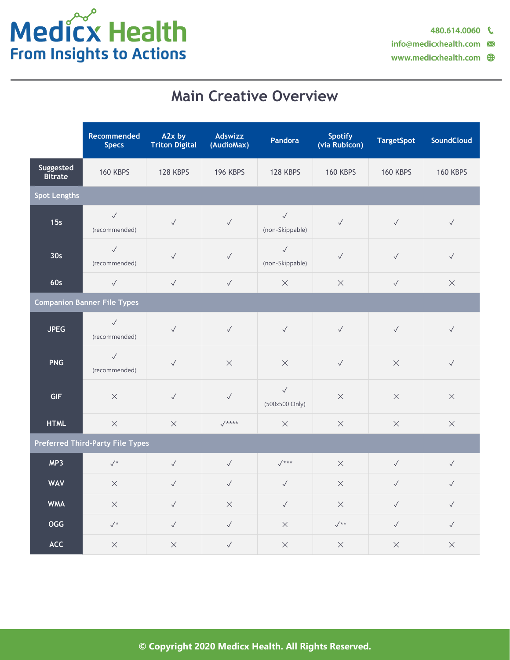info@medicxhealth.com

# **Main Creative Overview**

|                                         | Recommended<br><b>Specs</b>   | A2x by<br><b>Triton Digital</b> | Adswizz<br>(AudioMax) | Pandora                         | <b>Spotify</b><br>(via Rubicon) | <b>TargetSpot</b> | <b>SoundCloud</b> |  |  |
|-----------------------------------------|-------------------------------|---------------------------------|-----------------------|---------------------------------|---------------------------------|-------------------|-------------------|--|--|
| Suggested<br><b>Bitrate</b>             | <b>160 KBPS</b>               | 128 KBPS                        | <b>196 KBPS</b>       | 128 KBPS                        | <b>160 KBPS</b>                 | <b>160 KBPS</b>   | <b>160 KBPS</b>   |  |  |
| <b>Spot Lengths</b>                     |                               |                                 |                       |                                 |                                 |                   |                   |  |  |
| 15s                                     | $\checkmark$<br>(recommended) | $\checkmark$                    | $\checkmark$          | $\checkmark$<br>(non-Skippable) | $\checkmark$                    | $\checkmark$      | $\checkmark$      |  |  |
| 30 <sub>s</sub>                         | $\checkmark$<br>(recommended) | $\checkmark$                    | $\checkmark$          | $\checkmark$<br>(non-Skippable) | $\checkmark$                    | $\checkmark$      | $\checkmark$      |  |  |
| 60s                                     | $\checkmark$                  | $\sqrt{}$                       | $\checkmark$          | $\times$                        | $\times$                        | $\checkmark$      | $\times$          |  |  |
| <b>Companion Banner File Types</b>      |                               |                                 |                       |                                 |                                 |                   |                   |  |  |
| <b>JPEG</b>                             | $\checkmark$<br>(recommended) | $\checkmark$                    | $\checkmark$          | $\checkmark$                    | $\checkmark$                    | $\checkmark$      | $\checkmark$      |  |  |
| <b>PNG</b>                              | $\checkmark$<br>(recommended) | $\checkmark$                    | $\times$              | $\times$                        | $\checkmark$                    | $\times$          | $\checkmark$      |  |  |
| <b>GIF</b>                              | $\times$                      | $\sqrt{}$                       | $\checkmark$          | $\checkmark$<br>(500x500 Only)  | $\times$                        | $\times$          | $\times$          |  |  |
| <b>HTML</b>                             | $\times$                      | $\times$                        | $V$ ****              | $\times$                        | $\times$                        | $\times$          | $\times$          |  |  |
| <b>Preferred Third-Party File Types</b> |                               |                                 |                       |                                 |                                 |                   |                   |  |  |
| MP3                                     | $\sqrt{*}$                    | $\checkmark$                    | $\checkmark$          | $\sqrt{***}$                    | $\times$                        | $\checkmark$      | $\checkmark$      |  |  |
| <b>WAV</b>                              | $\times$                      | $\sqrt{}$                       | $\checkmark$          | $\sqrt{}$                       | $\times$                        | $\checkmark$      | $\sqrt{}$         |  |  |
| <b>WMA</b>                              | $\times$                      | $\checkmark$                    | $\times$              | $\checkmark$                    | $\times$                        | $\checkmark$      | $\checkmark$      |  |  |
| <b>OGG</b>                              | $\surd\star$                  | $\checkmark$                    | $\checkmark$          | $\times$                        | $\sqrt{**}$                     | $\checkmark$      | $\checkmark$      |  |  |
| ACC                                     | $\times$                      | $\times$                        | $\checkmark$          | $\times$                        | $\times$                        | $\times$          | $\times$          |  |  |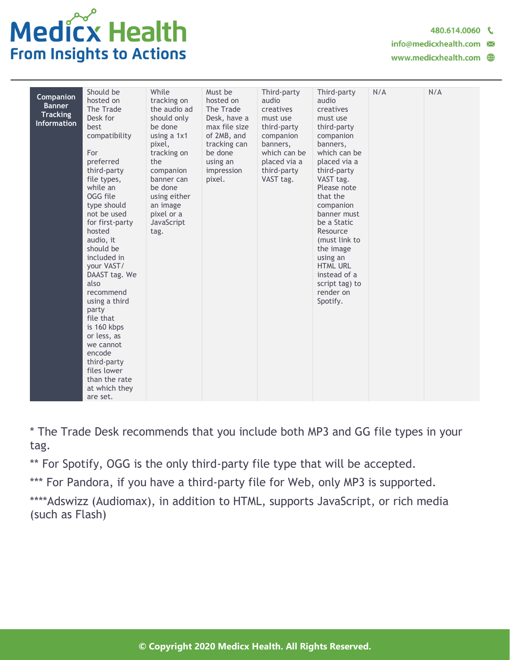

480.614.0060

info@medicxhealth.com  $\blacksquare$ 

| Companion<br><b>Banner</b><br><b>Tracking</b><br><b>Information</b> | Should be<br>hosted on<br>The Trade<br>Desk for<br>best<br>compatibility<br>For<br>preferred<br>third-party<br>file types,<br>while an<br>OGG file<br>type should<br>not be used<br>for first-party<br>hosted<br>audio, it<br>should be<br>included in<br>your VAST/<br>DAAST tag. We<br>also<br>recommend<br>using a third<br>party<br>file that<br>is 160 kbps<br>or less, as<br>we cannot<br>encode<br>third-party<br>files lower<br>than the rate<br>at which they<br>are set. | While<br>tracking on<br>the audio ad<br>should only<br>be done<br>using a 1x1<br>pixel,<br>tracking on<br>the<br>companion<br>banner can<br>be done<br>using either<br>an image<br>pixel or a<br>JavaScript<br>tag. | Must be<br>hosted on<br>The Trade<br>Desk, have a<br>max file size<br>of 2MB, and<br>tracking can<br>be done<br>using an<br>impression<br>pixel. | Third-party<br>audio<br>creatives<br>must use<br>third-party<br>companion<br>banners,<br>which can be<br>placed via a<br>third-party<br>VAST tag. | Third-party<br>audio<br>creatives<br>must use<br>third-party<br>companion<br>banners,<br>which can be<br>placed via a<br>third-party<br>VAST tag.<br>Please note<br>that the<br>companion<br>banner must<br>be a Static<br>Resource<br>(must link to<br>the image<br>using an<br><b>HTML URL</b><br>instead of a<br>script tag) to<br>render on<br>Spotify. | N/A | N/A |
|---------------------------------------------------------------------|------------------------------------------------------------------------------------------------------------------------------------------------------------------------------------------------------------------------------------------------------------------------------------------------------------------------------------------------------------------------------------------------------------------------------------------------------------------------------------|---------------------------------------------------------------------------------------------------------------------------------------------------------------------------------------------------------------------|--------------------------------------------------------------------------------------------------------------------------------------------------|---------------------------------------------------------------------------------------------------------------------------------------------------|-------------------------------------------------------------------------------------------------------------------------------------------------------------------------------------------------------------------------------------------------------------------------------------------------------------------------------------------------------------|-----|-----|
|---------------------------------------------------------------------|------------------------------------------------------------------------------------------------------------------------------------------------------------------------------------------------------------------------------------------------------------------------------------------------------------------------------------------------------------------------------------------------------------------------------------------------------------------------------------|---------------------------------------------------------------------------------------------------------------------------------------------------------------------------------------------------------------------|--------------------------------------------------------------------------------------------------------------------------------------------------|---------------------------------------------------------------------------------------------------------------------------------------------------|-------------------------------------------------------------------------------------------------------------------------------------------------------------------------------------------------------------------------------------------------------------------------------------------------------------------------------------------------------------|-----|-----|

\* The Trade Desk recommends that you include both MP3 and GG file types in your tag.

\*\* For Spotify, OGG is the only third-party file type that will be accepted.

\*\*\* For Pandora, if you have a third-party file for Web, only MP3 is supported.

\*\*\*\*Adswizz (Audiomax), in addition to HTML, supports JavaScript, or rich media (such as Flash)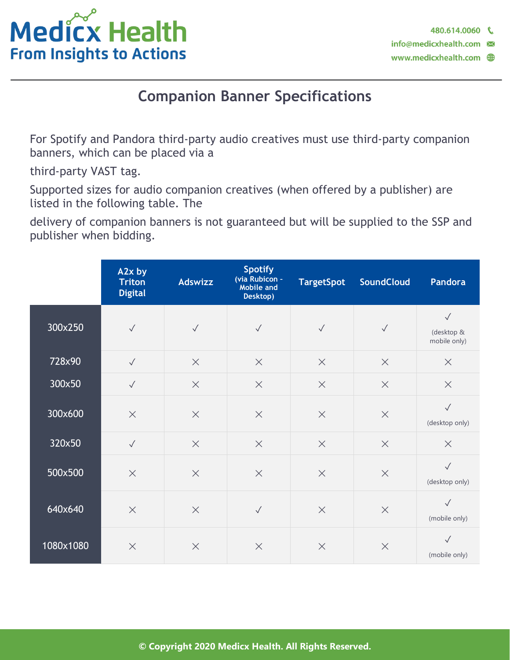

# **Companion Banner Specifications**

For Spotify and Pandora third-party audio creatives must use third-party companion banners, which can be placed via a

third-party VAST tag.

Supported sizes for audio companion creatives (when offered by a publisher) are listed in the following table. The

delivery of companion banners is not guaranteed but will be supplied to the SSP and publisher when bidding.

|           | A2x by<br><b>Triton</b><br><b>Digital</b> | Adswizz      | <b>Spotify</b><br>(via Rubicon -<br>Mobile and<br>Desktop) | <b>TargetSpot</b> | <b>SoundCloud</b> | Pandora                                    |
|-----------|-------------------------------------------|--------------|------------------------------------------------------------|-------------------|-------------------|--------------------------------------------|
| 300x250   | $\checkmark$                              | $\checkmark$ | $\checkmark$                                               | $\checkmark$      | $\sqrt{}$         | $\checkmark$<br>(desktop &<br>mobile only) |
| 728x90    | $\sqrt{}$                                 | $\times$     | $\times$                                                   | $\times$          | $\times$          | $\times$                                   |
| 300x50    | $\sqrt{}$                                 | $\times$     | $\times$                                                   | $\times$          | $\times$          | $\times$                                   |
| 300x600   | $\times$                                  | $\times$     | $\times$                                                   | $\times$          | $\times$          | $\checkmark$<br>(desktop only)             |
| 320×50    | $\checkmark$                              | $\times$     | $\times$                                                   | $\times$          | $\times$          | $\times$                                   |
| 500x500   | $\times$                                  | $\times$     | $\times$                                                   | $\times$          | $\times$          | $\checkmark$<br>(desktop only)             |
| 640x640   | $\times$                                  | $\times$     | $\checkmark$                                               | $\times$          | $\times$          | $\checkmark$<br>(mobile only)              |
| 1080x1080 | $\times$                                  | $\times$     | $\times$                                                   | $\times$          | $\times$          | $\checkmark$<br>(mobile only)              |